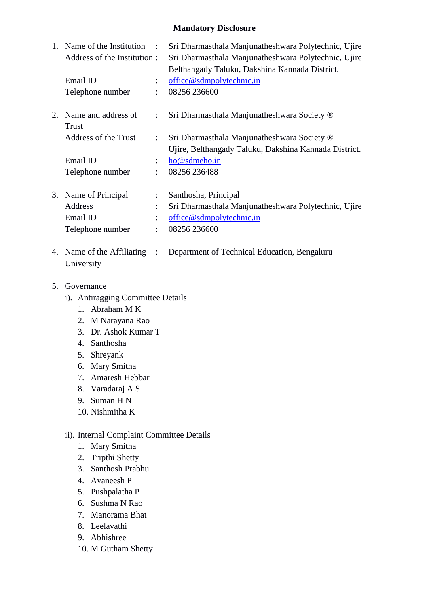#### **Mandatory Disclosure**

|    | 1. Name of the Institution<br>$\sim$ 1.<br>Address of the Institution: |                      | Sri Dharmasthala Manjunatheshwara Polytechnic, Ujire<br>Sri Dharmasthala Manjunatheshwara Polytechnic, Ujire<br>Belthangady Taluku, Dakshina Kannada District. |
|----|------------------------------------------------------------------------|----------------------|----------------------------------------------------------------------------------------------------------------------------------------------------------------|
|    | Email ID                                                               | $\ddot{\phantom{0}}$ | office@sdmpolytechnic.in                                                                                                                                       |
|    | Telephone number                                                       | $\ddot{\cdot}$       | 08256 236600                                                                                                                                                   |
| 2. | Name and address of<br>Trust                                           | $\ddot{\phantom{0}}$ | Sri Dharmasthala Manjunatheshwara Society ®                                                                                                                    |
|    | Address of the Trust                                                   | $\ddot{\phantom{0}}$ | Sri Dharmasthala Manjunatheshwara Society ®<br>Ujire, Belthangady Taluku, Dakshina Kannada District.                                                           |
|    | Email ID                                                               | $\ddot{\phantom{0}}$ | ho@sdmeho.in                                                                                                                                                   |
|    | Telephone number                                                       | $\ddot{\phantom{a}}$ | 08256 236488                                                                                                                                                   |
|    | 3. Name of Principal                                                   | $\ddot{\phantom{0}}$ | Santhosha, Principal                                                                                                                                           |
|    | Address                                                                | $\ddot{\cdot}$       | Sri Dharmasthala Manjunatheshwara Polytechnic, Ujire                                                                                                           |
|    | Email ID                                                               |                      | office@sdmpolytechnic.in                                                                                                                                       |

- 4. Name of the Affiliating : Department of Technical Education, Bengaluru University
- 5. Governance
	- i). Antiragging Committee Details

Telephone number : 08256 236600

- 1. Abraham M K
- 2. M Narayana Rao
- 3. Dr. Ashok Kumar T
- 4. Santhosha
- 5. Shreyank
- 6. Mary Smitha
- 7. Amaresh Hebbar
- 8. Varadaraj A S
- 9. Suman H N
- 10. Nishmitha K

#### ii). Internal Complaint Committee Details

- 1. Mary Smitha
- 2. Tripthi Shetty
- 3. Santhosh Prabhu
- 4. Avaneesh P
- 5. Pushpalatha P
- 6. Sushma N Rao
- 7. Manorama Bhat
- 8. Leelavathi
- 9. Abhishree
- 10. M Gutham Shetty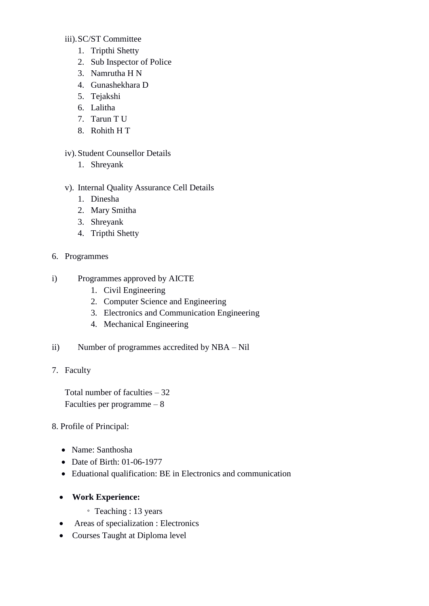#### iii).SC/ST Committee

- 1. Tripthi Shetty
- 2. Sub Inspector of Police
- 3. Namrutha H N
- 4. Gunashekhara D
- 5. Tejakshi
- 6. Lalitha
- 7. Tarun T U
- 8. Rohith H T

#### iv).Student Counsellor Details

- 1. Shreyank
- v). Internal Quality Assurance Cell Details
	- 1. Dinesha
	- 2. Mary Smitha
	- 3. Shreyank
	- 4. Tripthi Shetty
- 6. Programmes
- i) Programmes approved by AICTE
	- 1. Civil Engineering
	- 2. Computer Science and Engineering
	- 3. Electronics and Communication Engineering
	- 4. Mechanical Engineering
- ii) Number of programmes accredited by NBA Nil
- 7. Faculty

Total number of faculties – 32 Faculties per programme – 8

#### 8. Profile of Principal:

- Name: Santhosha
- Date of Birth: 01-06-1977
- Eduational qualification: BE in Electronics and communication
- **Work Experience:**
	- Teaching : 13 years
- Areas of specialization : Electronics
- Courses Taught at Diploma level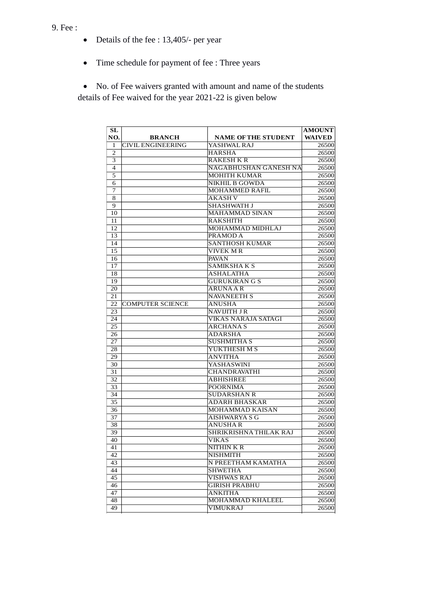- Details of the fee : 13,405/- per year
- Time schedule for payment of fee : Three years

 No. of Fee waivers granted with amount and name of the students details of Fee waived for the year 2021-22 is given below

| SL              |                         |                            | <b>AMOUNT</b> |
|-----------------|-------------------------|----------------------------|---------------|
| NO.             | <b>BRANCH</b>           | <b>NAME OF THE STUDENT</b> | <b>WAIVED</b> |
| 1               | CIVIL ENGINEERING       | YASHWAL RAJ                | 26500         |
| 2               |                         | <b>HARSHA</b>              | 26500         |
| 3               |                         | <b>RAKESH K R</b>          | 26500         |
| $\overline{4}$  |                         | NAGABHUSHAN GANESH NA      | 26500         |
| 5               |                         | MOHITH KUMAR               | 26500         |
| 6               |                         | NIKHIL B GOWDA             | 26500         |
| 7               |                         | MOHAMMED RAFIL             | 26500         |
| 8               |                         | AKASH V                    | 26500         |
| 9               |                         | SHASHWATH J                | 26500         |
| 10              |                         | MAHAMMAD SINAN             | 26500         |
| 11              |                         | RAKSHITH                   | 26500         |
| 12              |                         | MOHAMMAD MIDHLAJ           | 26500         |
| 13              |                         | PRAMOD A                   | 26500         |
| 14              |                         | <b>SANTHOSH KUMAR</b>      | 26500         |
| 15              |                         | VIVEK M R                  | 26500         |
| 16              |                         | PAVAN                      | 26500         |
| 17              |                         | SAMIKSHAKS                 | 26500         |
| 18              |                         | <b>ASHALATHA</b>           | 26500         |
| 19              |                         | <b>GURUKIRAN G S</b>       | 26500         |
| 20              |                         | <b>ARUNA A R</b>           | 26500         |
| 21              |                         | <b>NAVANEETH S</b>         | 26500         |
| 22              | <b>COMPUTER SCIENCE</b> | <b>ANUSHA</b>              | 26500         |
| 23              |                         | NAVIJITH J R               | 26500         |
| 24              |                         | <b>VIKAS NARAJA SATAGI</b> | 26500         |
| 25              |                         | <b>ARCHANAS</b>            | 26500         |
| 26              |                         | <b>ADARSHA</b>             | 26500         |
| 27              |                         | <b>SUSHMITHA S</b>         | 26500         |
| 28              |                         | YUKTHESH M S               | 26500         |
| 29              |                         | <b>ANVITHA</b>             | 26500         |
| 30              |                         | YASHASWINI                 | 26500         |
| 31              |                         | <b>CHANDRAVATHI</b>        | 26500         |
| 32              |                         | ABHISHREE                  | 26500         |
| 33              |                         | <b>POORNIMA</b>            | 26500         |
| 34              |                         | <b>SUDARSHAN R</b>         | 26500         |
| 35              |                         | ADARH BHASKAR              | 26500         |
| 36              |                         | MOHAMMAD KAISAN            | 26500         |
| 37              |                         | AISHWARYA S G              | 26500         |
| 38              |                         | <b>ANUSHAR</b>             | 26500         |
| 39              |                         | SHRIKRISHNA THILAK RAJ     | 26500         |
| 40              |                         | VIKAS                      | 26500         |
| $\overline{41}$ |                         | NITHIN K R                 | 26500         |
| 42              |                         | <b>NISHMITH</b>            | 26500         |
| 43              |                         | N PREETHAM KAMATHA         | 26500         |
| 44              |                         | <b>SHWETHA</b>             | 26500         |
| 45              |                         | <b>VISHWAS RAJ</b>         | 26500         |
| 46              |                         | <b>GIRISH PRABHU</b>       | 26500         |
| 47              |                         | <b>ANKITHA</b>             | 26500         |
| 48              |                         | MOHAMMAD KHALEEL           | 26500         |
| 49              |                         | VIMUKRAJ                   | 26500         |
|                 |                         |                            |               |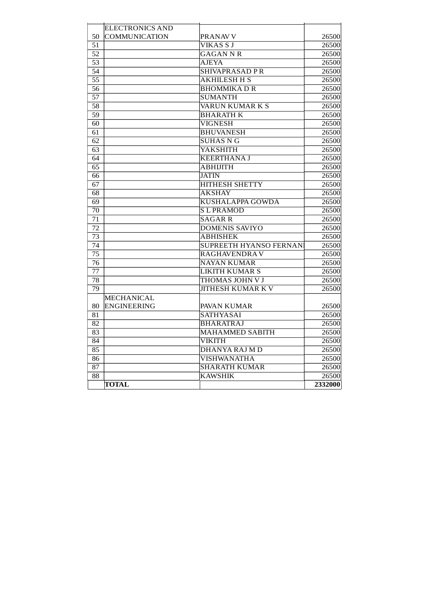|    | <b>ELECTRONICS AND</b> |                               |         |
|----|------------------------|-------------------------------|---------|
| 50 | COMMUNICATION          | PRANAV V                      | 26500   |
| 51 |                        | VIKAS S J                     | 26500   |
| 52 |                        | GAGAN N R                     | 26500   |
| 53 |                        | <b>AJEYA</b>                  | 26500   |
| 54 |                        | SHIVAPRASAD P R               | 26500   |
| 55 |                        | AKHILESH H S                  | 26500   |
| 56 |                        | <b>BHOMMIKADR</b>             | 26500   |
| 57 |                        | <b>SUMANTH</b>                | 26500   |
| 58 |                        | VARUN KUMAR K S               | 26500   |
| 59 |                        | <b>BHARATH K</b>              | 26500   |
| 60 |                        | <b>VIGNESH</b>                | 26500   |
| 61 |                        | <b>BHUVANESH</b>              | 26500   |
| 62 |                        | <b>SUHAS N G</b>              | 26500   |
| 63 |                        | YAKSHITH                      | 26500   |
| 64 |                        | <b>KEERTHANAJ</b>             | 26500   |
| 65 |                        | <b>ABHIJITH</b>               | 26500   |
| 66 |                        | <b>JATIN</b>                  | 26500   |
| 67 |                        | <b>HITHESH SHETTY</b>         | 26500   |
| 68 |                        | <b>AKSHAY</b>                 | 26500   |
| 69 |                        | KUSHALAPPA GOWDA              | 26500   |
| 70 |                        | <b>SLPRAMOD</b>               | 26500   |
| 71 |                        | <b>SAGAR R</b>                | 26500   |
| 72 |                        | <b>DOMENIS SAVIYO</b>         | 26500   |
| 73 |                        | <b>ABHISHEK</b>               | 26500   |
| 74 |                        | <b>SUPREETH HYANSO FERNAN</b> | 26500   |
| 75 |                        | <b>RAGHAVENDRAV</b>           | 26500   |
| 76 |                        | <b>NAYAN KUMAR</b>            | 26500   |
| 77 |                        | <b>LIKITH KUMAR S</b>         | 26500   |
| 78 |                        | THOMAS JOHN V J               | 26500   |
| 79 |                        | <b>JITHESH KUMAR KV</b>       | 26500   |
|    | <b>MECHANICAL</b>      |                               |         |
| 80 | <b>ENGINEERING</b>     | PAVAN KUMAR                   | 26500   |
| 81 |                        | SATHYASAI                     | 26500   |
| 82 |                        | <b>BHARATRAJ</b>              | 26500   |
| 83 |                        | <b>MAHAMMED SABITH</b>        | 26500   |
| 84 |                        | VIKITH                        | 26500   |
| 85 |                        | DHANYA RAJ M D                | 26500   |
| 86 |                        | <b>VISHWANATHA</b>            | 26500   |
| 87 |                        | <b>SHARATH KUMAR</b>          | 26500   |
| 88 |                        | <b>KAWSHIK</b>                | 26500   |
|    | <b>TOTAL</b>           |                               | 2332000 |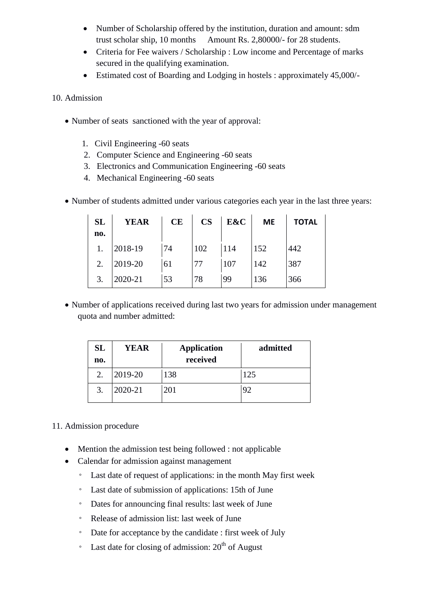- Number of Scholarship offered by the institution, duration and amount: sdm trust scholar ship, 10 months Amount Rs. 2,80000/- for 28 students.
- Criteria for Fee waivers / Scholarship : Low income and Percentage of marks secured in the qualifying examination.
- Estimated cost of Boarding and Lodging in hostels : approximately 45,000/-

10. Admission

- Number of seats sanctioned with the year of approval:
	- 1. Civil Engineering -60 seats
	- 2. Computer Science and Engineering -60 seats
	- 3. Electronics and Communication Engineering -60 seats
	- 4. Mechanical Engineering -60 seats
- Number of students admitted under various categories each year in the last three years:

| <b>SL</b><br>no. | <b>YEAR</b> | <b>CE</b> | $\mathbf{CS}$ | E&C | <b>ME</b> | <b>TOTAL</b> |
|------------------|-------------|-----------|---------------|-----|-----------|--------------|
|                  | 2018-19     | 74        | 102           | 114 | 152       | 442          |
| 2.               | 2019-20     | 61        | 77            | 107 | 142       | 387          |
| 3.               | 2020-21     | 53        | 78            | 99  | 136       | 366          |

• Number of applications received during last two years for admission under management quota and number admitted:

| SL<br>no. | YEAR    | <b>Application</b><br>received | admitted |
|-----------|---------|--------------------------------|----------|
| 2.        | 2019-20 | 138                            | 125      |
| 3.        | 2020-21 | 201                            |          |

#### 11. Admission procedure

- Mention the admission test being followed : not applicable
- Calendar for admission against management
	- Last date of request of applications: in the month May first week
	- Last date of submission of applications: 15th of June
	- Dates for announcing final results: last week of June
	- Release of admission list: last week of June
	- Date for acceptance by the candidate : first week of July
	- $\degree$  Last date for closing of admission: 20<sup>th</sup> of August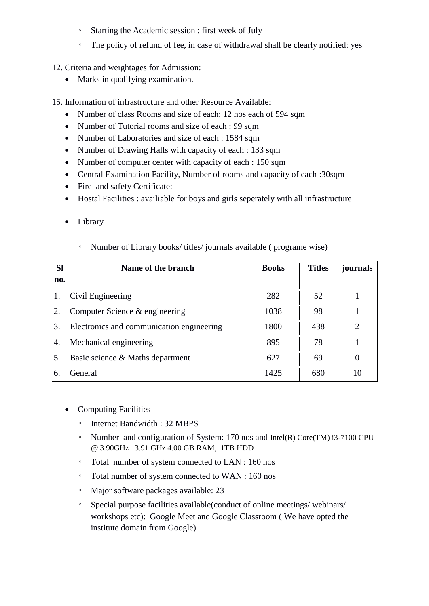- Starting the Academic session : first week of July
- The policy of refund of fee, in case of withdrawal shall be clearly notified: yes
- 12. Criteria and weightages for Admission:
	- Marks in qualifying examination.

15. Information of infrastructure and other Resource Available:

- Number of class Rooms and size of each: 12 nos each of 594 sqm
- Number of Tutorial rooms and size of each : 99 sqm
- Number of Laboratories and size of each : 1584 sqm
- Number of Drawing Halls with capacity of each : 133 sqm
- Number of computer center with capacity of each : 150 sqm
- Central Examination Facility, Number of rooms and capacity of each :30sqm
- Fire and safety Certificate:
- Hostal Facilities : availiable for boys and girls seperately with all infrastructure
- Library

| <b>Sl</b><br>no. | Name of the branch                        | <b>Books</b> | <b>Titles</b> | journals |
|------------------|-------------------------------------------|--------------|---------------|----------|
| 1.               | Civil Engineering                         | 282          | 52            |          |
| 2.               | Computer Science & engineering            | 1038         | 98            |          |
| 3.               | Electronics and communication engineering | 1800         | 438           | 2        |
| 4.               | Mechanical engineering                    | 895          | 78            |          |
| 5.               | Basic science & Maths department          | 627          | 69            | $\Omega$ |
| 6.               | General                                   | 1425         | 680           | 10       |

◦ Number of Library books/ titles/ journals available ( programe wise)

- Computing Facilities
	- Internet Bandwidth : 32 MBPS
	- Number and configuration of System: 170 nos and Intel(R) Core(TM) i3-7100 CPU @ 3.90GHz 3.91 GHz 4.00 GB RAM, 1TB HDD
	- Total number of system connected to LAN : 160 nos
	- Total number of system connected to WAN : 160 nos
	- Major software packages available: 23
	- Special purpose facilities available(conduct of online meetings/ webinars/ workshops etc): Google Meet and Google Classroom ( We have opted the institute domain from Google)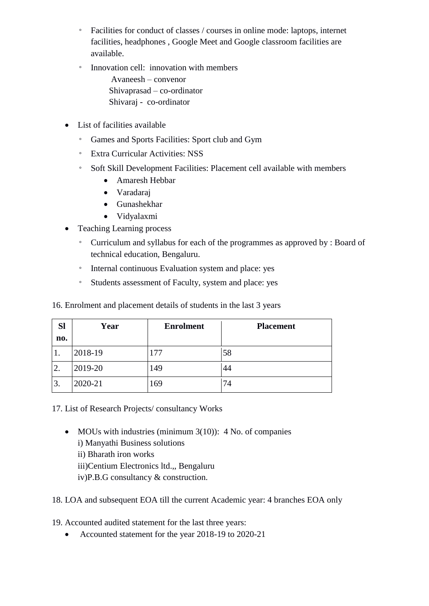- Facilities for conduct of classes / courses in online mode: laptops, internet facilities, headphones , Google Meet and Google classroom facilities are available.
- Innovation cell: innovation with members Avaneesh – convenor Shivaprasad – co-ordinator Shivaraj - co-ordinator
- List of facilities available
	- Games and Sports Facilities: Sport club and Gym
	- Extra Curricular Activities: NSS
	- Soft Skill Development Facilities: Placement cell available with members
		- Amaresh Hebbar
		- Varadaraj
		- Gunashekhar
		- Vidyalaxmi
- Teaching Learning process
	- Curriculum and syllabus for each of the programmes as approved by : Board of technical education, Bengaluru.
	- Internal continuous Evaluation system and place: yes
	- Students assessment of Faculty, system and place: yes

16. Enrolment and placement details of students in the last 3 years

| <b>Sl</b> | Year    | <b>Enrolment</b> | <b>Placement</b> |  |
|-----------|---------|------------------|------------------|--|
| no.       |         |                  |                  |  |
| 1.        | 2018-19 | 177              | 58               |  |
| 2.        | 2019-20 | 149              | 44               |  |
| 3.        | 2020-21 | 169              | 74               |  |

17. List of Research Projects/ consultancy Works

• MOUs with industries (minimum  $3(10)$ ): 4 No. of companies i) Manyathi Business solutions ii) Bharath iron works iii)Centium Electronics ltd.,, Bengaluru iv)P.B.G consultancy & construction.

18. LOA and subsequent EOA till the current Academic year: 4 branches EOA only

19. Accounted audited statement for the last three years:

• Accounted statement for the year 2018-19 to 2020-21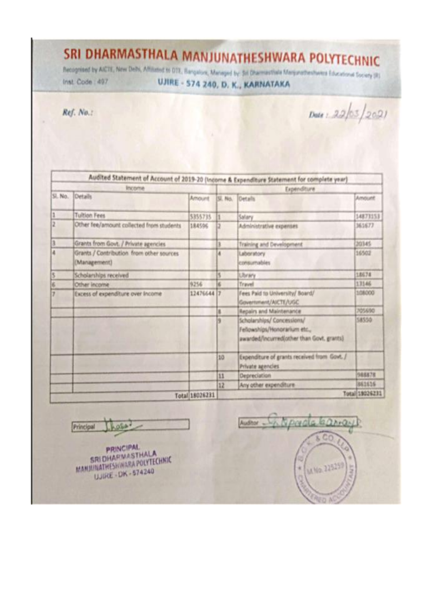# SRI DHARMASTHALA MANJUNATHESHWARA POLYTECHNIC

Recognised by AICTE, New Debt, Affiliated to DTE, Rengalors, Managed by: Sri Dharmastinka Manjunatheshwara Educational Society (R).

Inst. Code: 497

UJIRE - 574 240, D. K., KARNATAKA

Ref. No.:

 $Dute: 22/03/2021$ 

|   | Income                                                   |                |                | Expenditure                                                                                             |                |
|---|----------------------------------------------------------|----------------|----------------|---------------------------------------------------------------------------------------------------------|----------------|
|   | SL No. Details                                           | Amount         | <b>SE. No.</b> | Oetals                                                                                                  | Amount         |
| 1 | <b>Tuition Fees</b>                                      | 5355735        | łī             | Salary                                                                                                  | 14873153       |
| 2 | Other fee/amount collected from students                 | 184506         | l2             | Administrative expenses                                                                                 | 361677         |
| ã | Grants from Govt. / Private agencies                     |                | a              | Training and Development                                                                                | 20345          |
| ä | Grants / Contribution from other sources<br>(Management) |                | 4              | Laboratory<br>consumables                                                                               | 16502          |
| š | Scholarships received                                    |                | к              | Library                                                                                                 | 18674          |
| в | Other income                                             | 9256           | и              | Travel                                                                                                  | 13146          |
| y | Excess of expenditure over Income                        | 12476644 7     |                | Fees Paid to University/ Board/<br>Government/AICTE/UGC                                                 | 108000         |
|   |                                                          |                | ı              | Repairs and Maintenance                                                                                 | 705690         |
|   |                                                          |                | N              | Scholarships/ Concessions/<br>Fellowships/Honorarium etc.,<br>awarded/incurred(other than Govt. grants) | 58550          |
|   |                                                          |                | 10             | Expenditure of grants received from Govt. /<br>Private agencies                                         |                |
|   |                                                          |                | 11             | Depreciation                                                                                            | 988878         |
|   |                                                          |                | 12             | Any other expenditure                                                                                   | 861616         |
|   |                                                          | Total 18026231 |                |                                                                                                         | Total 18026231 |

hess Principal

**PRINCIPAL SRIDHARMASTHALA** MANJUNATHESH WARA POLYTECHNIC UJIRE - DK - 574240

Austor Chipmala barray M No. 225259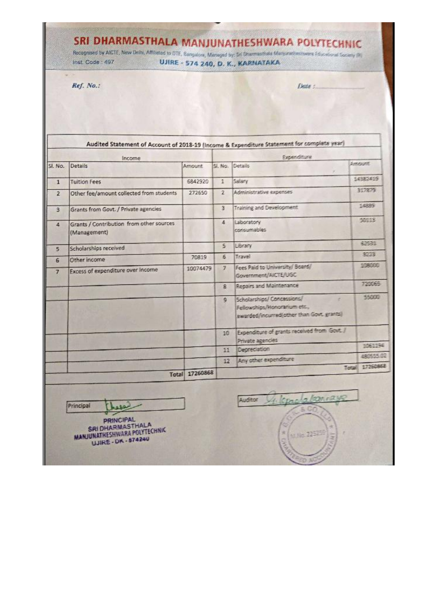### SRI DHARMASTHALA MANJUNATHESHWARA POLYTECHNIC

Recognised by AICTE, New Delhi, Affiliated to OTE, Bampston, Managed by; Sri Drammachala Margurathenityance Educational Tockety (R) Inst. Code: 497 UJIRE - 574 240, D. K., KARNATAKA

Date:

Ref. No.:

Audited Statement of Account of 2018-19 (Income & Expenditure Statement for complete year) Income Expenditure Amount Sl. No. Details Sl. No. Details Amount 14982419 **Tuition Fees** 6842920  $\mathbf{1}$ Salary  $\mathbf{1}$ 317879 272650  $\overline{2}$ Administrative expenses Other fee/amount collected from students  $\overline{2}$ 14889  $\overline{\mathbf{3}}$ Training and Development Grants from Govt. / Private agencies  $\overline{3}$ 50113  $\overline{4}$ Laboratory Grants / Contribution from other sources  $\overline{4}$ consumables (Management) **ADASS** Library  $\tau_{\rm c}$ Scholarships received  $\overline{\phantom{a}}$ 3223  $\frac{2}{5}$ Travel 70819 Other income  $6$ **SERVICE** Fees Paid to University/ Board/  $\overline{1}$ 10074479 Excess of expenditure over Income  $\overline{7}$ Government/AICTE/UGC 720065 Repairs and Maintenance 8 55000  $\mathfrak{g}$ Scholarships/ Concessions/ Fellowships/Honorarium etc., awarded/incurred(other than Govt. grants) Expenditure of grants received from Govt. /  $10$ Private agencies 1061194 Depreciation  $11$ 490555.02 12 Any other expenditure Total 17260868 Total 17260868 kinglabarray Auditor Us. Principal **ASQ PRINCIPAL** SRI DHARMASTHALA MANJUNATHESHWARA POLYTECHNIC 725 UJIRE - DK - 574240